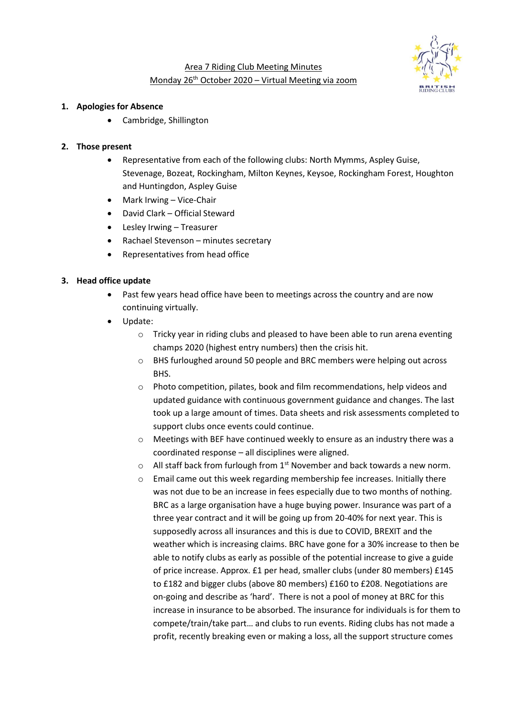

# Area 7 Riding Club Meeting Minutes Monday 26th October 2020 – Virtual Meeting via zoom

#### **1. Apologies for Absence**

• Cambridge, Shillington

#### **2. Those present**

- Representative from each of the following clubs: North Mymms, Aspley Guise, Stevenage, Bozeat, Rockingham, Milton Keynes, Keysoe, Rockingham Forest, Houghton and Huntingdon, Aspley Guise
- Mark Irwing Vice-Chair
- David Clark Official Steward
- Lesley Irwing Treasurer
- Rachael Stevenson minutes secretary
- Representatives from head office

## **3. Head office update**

- Past few years head office have been to meetings across the country and are now continuing virtually.
- Update:
	- o Tricky year in riding clubs and pleased to have been able to run arena eventing champs 2020 (highest entry numbers) then the crisis hit.
	- o BHS furloughed around 50 people and BRC members were helping out across BHS.
	- $\circ$  Photo competition, pilates, book and film recommendations, help videos and updated guidance with continuous government guidance and changes. The last took up a large amount of times. Data sheets and risk assessments completed to support clubs once events could continue.
	- o Meetings with BEF have continued weekly to ensure as an industry there was a coordinated response – all disciplines were aligned.
	- $\circ$  All staff back from furlough from 1<sup>st</sup> November and back towards a new norm.
	- o Email came out this week regarding membership fee increases. Initially there was not due to be an increase in fees especially due to two months of nothing. BRC as a large organisation have a huge buying power. Insurance was part of a three year contract and it will be going up from 20-40% for next year. This is supposedly across all insurances and this is due to COVID, BREXIT and the weather which is increasing claims. BRC have gone for a 30% increase to then be able to notify clubs as early as possible of the potential increase to give a guide of price increase. Approx. £1 per head, smaller clubs (under 80 members) £145 to £182 and bigger clubs (above 80 members) £160 to £208. Negotiations are on-going and describe as 'hard'. There is not a pool of money at BRC for this increase in insurance to be absorbed. The insurance for individuals is for them to compete/train/take part… and clubs to run events. Riding clubs has not made a profit, recently breaking even or making a loss, all the support structure comes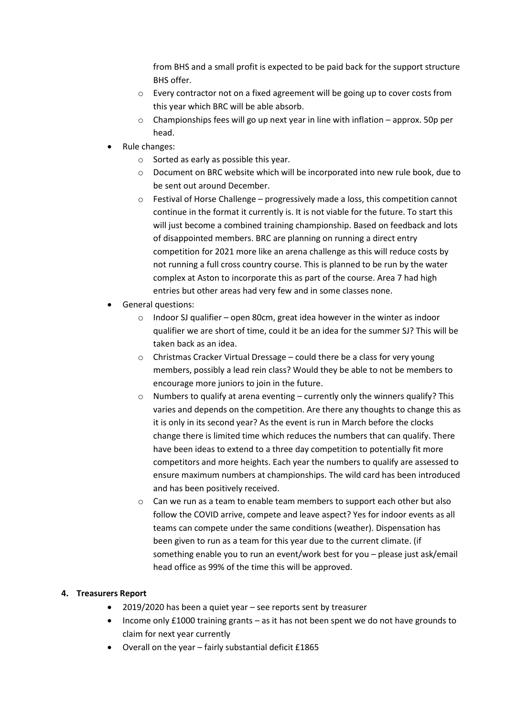from BHS and a small profit is expected to be paid back for the support structure BHS offer.

- o Every contractor not on a fixed agreement will be going up to cover costs from this year which BRC will be able absorb.
- $\circ$  Championships fees will go up next year in line with inflation approx. 50p per head.
- Rule changes:
	- o Sorted as early as possible this year.
	- o Document on BRC website which will be incorporated into new rule book, due to be sent out around December.
	- $\circ$  Festival of Horse Challenge progressively made a loss, this competition cannot continue in the format it currently is. It is not viable for the future. To start this will just become a combined training championship. Based on feedback and lots of disappointed members. BRC are planning on running a direct entry competition for 2021 more like an arena challenge as this will reduce costs by not running a full cross country course. This is planned to be run by the water complex at Aston to incorporate this as part of the course. Area 7 had high entries but other areas had very few and in some classes none.
- General questions:
	- o Indoor SJ qualifier open 80cm, great idea however in the winter as indoor qualifier we are short of time, could it be an idea for the summer SJ? This will be taken back as an idea.
	- o Christmas Cracker Virtual Dressage could there be a class for very young members, possibly a lead rein class? Would they be able to not be members to encourage more juniors to join in the future.
	- $\circ$  Numbers to qualify at arena eventing currently only the winners qualify? This varies and depends on the competition. Are there any thoughts to change this as it is only in its second year? As the event is run in March before the clocks change there is limited time which reduces the numbers that can qualify. There have been ideas to extend to a three day competition to potentially fit more competitors and more heights. Each year the numbers to qualify are assessed to ensure maximum numbers at championships. The wild card has been introduced and has been positively received.
	- $\circ$  Can we run as a team to enable team members to support each other but also follow the COVID arrive, compete and leave aspect? Yes for indoor events as all teams can compete under the same conditions (weather). Dispensation has been given to run as a team for this year due to the current climate. (if something enable you to run an event/work best for you – please just ask/email head office as 99% of the time this will be approved.

## **4. Treasurers Report**

- 2019/2020 has been a quiet year see reports sent by treasurer
- Income only £1000 training grants as it has not been spent we do not have grounds to claim for next year currently
- Overall on the year fairly substantial deficit £1865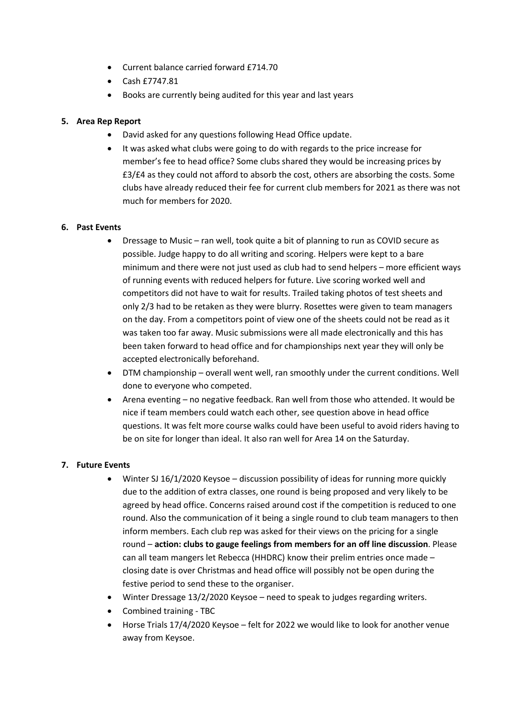- Current balance carried forward £714.70
- Cash £7747.81
- Books are currently being audited for this year and last years

## **5. Area Rep Report**

- David asked for any questions following Head Office update.
- It was asked what clubs were going to do with regards to the price increase for member's fee to head office? Some clubs shared they would be increasing prices by £3/£4 as they could not afford to absorb the cost, others are absorbing the costs. Some clubs have already reduced their fee for current club members for 2021 as there was not much for members for 2020.

## **6. Past Events**

- Dressage to Music ran well, took quite a bit of planning to run as COVID secure as possible. Judge happy to do all writing and scoring. Helpers were kept to a bare minimum and there were not just used as club had to send helpers – more efficient ways of running events with reduced helpers for future. Live scoring worked well and competitors did not have to wait for results. Trailed taking photos of test sheets and only 2/3 had to be retaken as they were blurry. Rosettes were given to team managers on the day. From a competitors point of view one of the sheets could not be read as it was taken too far away. Music submissions were all made electronically and this has been taken forward to head office and for championships next year they will only be accepted electronically beforehand.
- DTM championship overall went well, ran smoothly under the current conditions. Well done to everyone who competed.
- Arena eventing no negative feedback. Ran well from those who attended. It would be nice if team members could watch each other, see question above in head office questions. It was felt more course walks could have been useful to avoid riders having to be on site for longer than ideal. It also ran well for Area 14 on the Saturday.

## **7. Future Events**

- Winter SJ 16/1/2020 Keysoe discussion possibility of ideas for running more quickly due to the addition of extra classes, one round is being proposed and very likely to be agreed by head office. Concerns raised around cost if the competition is reduced to one round. Also the communication of it being a single round to club team managers to then inform members. Each club rep was asked for their views on the pricing for a single round – **action: clubs to gauge feelings from members for an off line discussion**. Please can all team mangers let Rebecca (HHDRC) know their prelim entries once made – closing date is over Christmas and head office will possibly not be open during the festive period to send these to the organiser.
- Winter Dressage 13/2/2020 Keysoe need to speak to judges regarding writers.
- Combined training TBC
- Horse Trials 17/4/2020 Keysoe felt for 2022 we would like to look for another venue away from Keysoe.